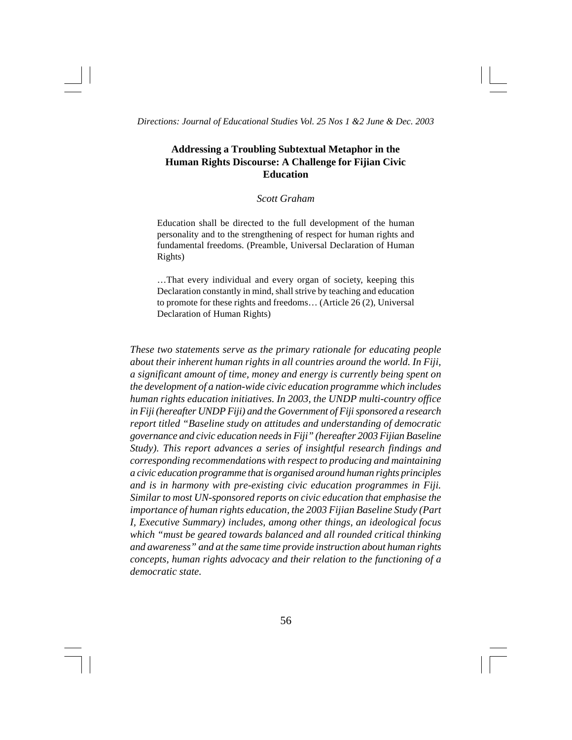# **Addressing a Troubling Subtextual Metaphor in the Human Rights Discourse: A Challenge for Fijian Civic Education**

## *Scott Graham*

Education shall be directed to the full development of the human personality and to the strengthening of respect for human rights and fundamental freedoms. (Preamble, Universal Declaration of Human Rights)

…That every individual and every organ of society, keeping this Declaration constantly in mind, shall strive by teaching and education to promote for these rights and freedoms… (Article 26 (2), Universal Declaration of Human Rights)

*These two statements serve as the primary rationale for educating people about their inherent human rights in all countries around the world. In Fiji, a significant amount of time, money and energy is currently being spent on the development of a nation-wide civic education programme which includes human rights education initiatives. In 2003, the UNDP multi-country office in Fiji (hereafter UNDP Fiji) and the Government of Fiji sponsored a research report titled "Baseline study on attitudes and understanding of democratic governance and civic education needs in Fiji" (hereafter 2003 Fijian Baseline Study). This report advances a series of insightful research findings and corresponding recommendations with respect to producing and maintaining a civic education programme that is organised around human rights principles and is in harmony with pre-existing civic education programmes in Fiji. Similar to most UN-sponsored reports on civic education that emphasise the importance of human rights education, the 2003 Fijian Baseline Study (Part I, Executive Summary) includes, among other things, an ideological focus which "must be geared towards balanced and all rounded critical thinking and awareness" and at the same time provide instruction about human rights concepts, human rights advocacy and their relation to the functioning of a democratic state.*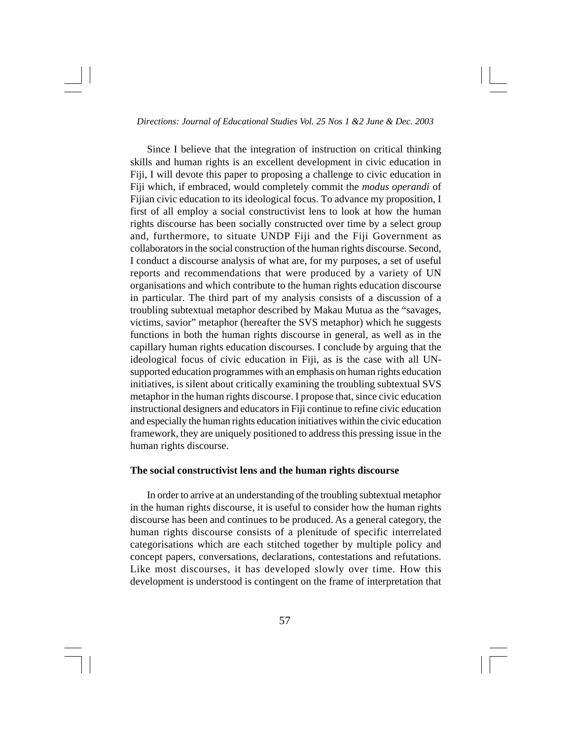Since I believe that the integration of instruction on critical thinking skills and human rights is an excellent development in civic education in Fiji, I will devote this paper to proposing a challenge to civic education in Fiji which, if embraced, would completely commit the *modus operandi* of Fijian civic education to its ideological focus. To advance my proposition, I first of all employ a social constructivist lens to look at how the human rights discourse has been socially constructed over time by a select group and, furthermore, to situate UNDP Fiji and the Fiji Government as collaborators in the social construction of the human rights discourse. Second, I conduct a discourse analysis of what are, for my purposes, a set of useful reports and recommendations that were produced by a variety of UN organisations and which contribute to the human rights education discourse in particular. The third part of my analysis consists of a discussion of a troubling subtextual metaphor described by Makau Mutua as the "savages, victims, savior" metaphor (hereafter the SVS metaphor) which he suggests functions in both the human rights discourse in general, as well as in the capillary human rights education discourses. I conclude by arguing that the ideological focus of civic education in Fiji, as is the case with all UNsupported education programmes with an emphasis on human rights education initiatives, is silent about critically examining the troubling subtextual SVS metaphor in the human rights discourse. I propose that, since civic education instructional designers and educators in Fiji continue to refine civic education and especially the human rights education initiatives within the civic education framework, they are uniquely positioned to address this pressing issue in the human rights discourse.

### **The social constructivist lens and the human rights discourse**

In order to arrive at an understanding of the troubling subtextual metaphor in the human rights discourse, it is useful to consider how the human rights discourse has been and continues to be produced. As a general category, the human rights discourse consists of a plenitude of specific interrelated categorisations which are each stitched together by multiple policy and concept papers, conversations, declarations, contestations and refutations. Like most discourses, it has developed slowly over time. How this development is understood is contingent on the frame of interpretation that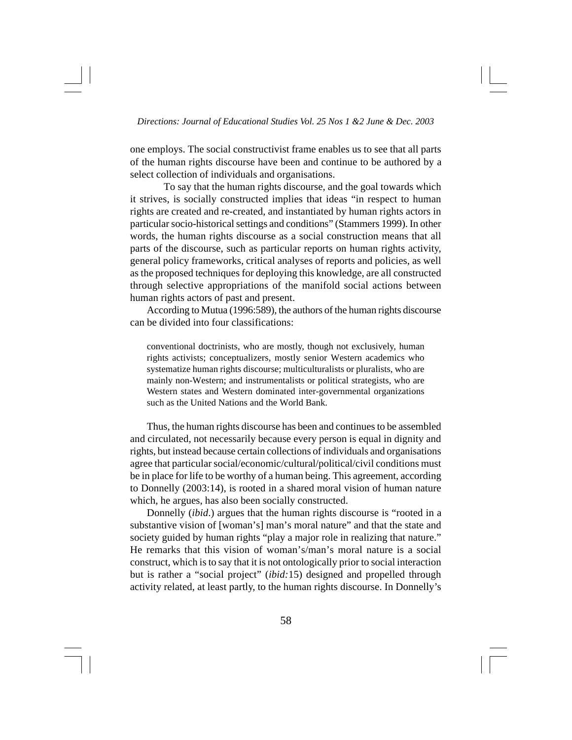one employs. The social constructivist frame enables us to see that all parts of the human rights discourse have been and continue to be authored by a select collection of individuals and organisations.

To say that the human rights discourse, and the goal towards which it strives, is socially constructed implies that ideas "in respect to human rights are created and re-created, and instantiated by human rights actors in particular socio-historical settings and conditions" (Stammers 1999). In other words, the human rights discourse as a social construction means that all parts of the discourse, such as particular reports on human rights activity, general policy frameworks, critical analyses of reports and policies, as well as the proposed techniques for deploying this knowledge, are all constructed through selective appropriations of the manifold social actions between human rights actors of past and present.

According to Mutua (1996:589), the authors of the human rights discourse can be divided into four classifications:

conventional doctrinists, who are mostly, though not exclusively, human rights activists; conceptualizers, mostly senior Western academics who systematize human rights discourse; multiculturalists or pluralists, who are mainly non-Western; and instrumentalists or political strategists, who are Western states and Western dominated inter-governmental organizations such as the United Nations and the World Bank.

Thus, the human rights discourse has been and continues to be assembled and circulated, not necessarily because every person is equal in dignity and rights, but instead because certain collections of individuals and organisations agree that particular social/economic/cultural/political/civil conditions must be in place for life to be worthy of a human being. This agreement, according to Donnelly (2003:14), is rooted in a shared moral vision of human nature which, he argues, has also been socially constructed.

Donnelly (*ibid*.) argues that the human rights discourse is "rooted in a substantive vision of [woman's] man's moral nature" and that the state and society guided by human rights "play a major role in realizing that nature." He remarks that this vision of woman's/man's moral nature is a social construct, which is to say that it is not ontologically prior to social interaction but is rather a "social project" (*ibid:*15) designed and propelled through activity related, at least partly, to the human rights discourse. In Donnelly's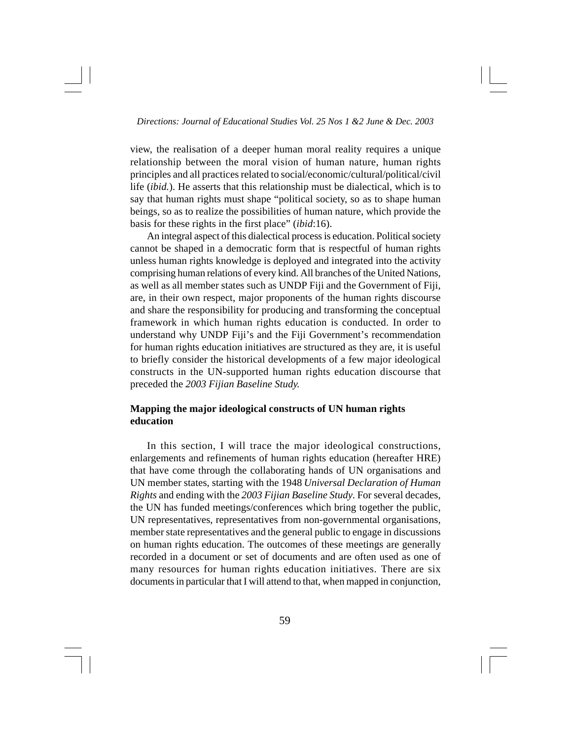view, the realisation of a deeper human moral reality requires a unique relationship between the moral vision of human nature, human rights principles and all practices related to social/economic/cultural/political/civil life (*ibid.*). He asserts that this relationship must be dialectical, which is to say that human rights must shape "political society, so as to shape human beings, so as to realize the possibilities of human nature, which provide the basis for these rights in the first place" (*ibid*:16).

An integral aspect of this dialectical process is education. Political society cannot be shaped in a democratic form that is respectful of human rights unless human rights knowledge is deployed and integrated into the activity comprising human relations of every kind. All branches of the United Nations, as well as all member states such as UNDP Fiji and the Government of Fiji, are, in their own respect, major proponents of the human rights discourse and share the responsibility for producing and transforming the conceptual framework in which human rights education is conducted. In order to understand why UNDP Fiji's and the Fiji Government's recommendation for human rights education initiatives are structured as they are, it is useful to briefly consider the historical developments of a few major ideological constructs in the UN-supported human rights education discourse that preceded the *2003 Fijian Baseline Study.*

# **Mapping the major ideological constructs of UN human rights education**

In this section, I will trace the major ideological constructions, enlargements and refinements of human rights education (hereafter HRE) that have come through the collaborating hands of UN organisations and UN member states, starting with the 1948 *Universal Declaration of Human Rights* and ending with the *2003 Fijian Baseline Study*. For several decades, the UN has funded meetings/conferences which bring together the public, UN representatives, representatives from non-governmental organisations, member state representatives and the general public to engage in discussions on human rights education. The outcomes of these meetings are generally recorded in a document or set of documents and are often used as one of many resources for human rights education initiatives. There are six documents in particular that I will attend to that, when mapped in conjunction,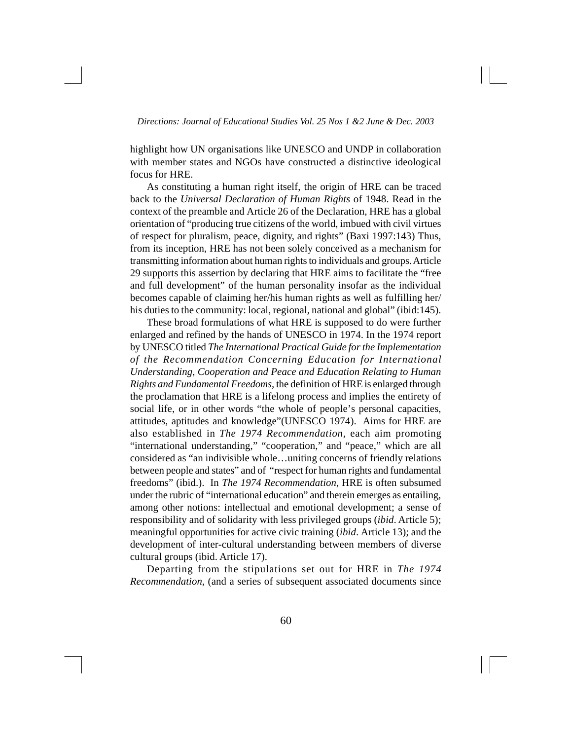highlight how UN organisations like UNESCO and UNDP in collaboration with member states and NGOs have constructed a distinctive ideological focus for HRE.

As constituting a human right itself, the origin of HRE can be traced back to the *Universal Declaration of Human Rights* of 1948. Read in the context of the preamble and Article 26 of the Declaration, HRE has a global orientation of "producing true citizens of the world, imbued with civil virtues of respect for pluralism, peace, dignity, and rights" (Baxi 1997:143) Thus, from its inception, HRE has not been solely conceived as a mechanism for transmitting information about human rights to individuals and groups. Article 29 supports this assertion by declaring that HRE aims to facilitate the "free and full development" of the human personality insofar as the individual becomes capable of claiming her/his human rights as well as fulfilling her/ his duties to the community: local, regional, national and global" (ibid:145).

These broad formulations of what HRE is supposed to do were further enlarged and refined by the hands of UNESCO in 1974. In the 1974 report by UNESCO titled *The International Practical Guide for the Implementation of the Recommendation Concerning Education for International Understanding, Cooperation and Peace and Education Relating to Human Rights and Fundamental Freedoms,* the definition of HRE is enlarged through the proclamation that HRE is a lifelong process and implies the entirety of social life, or in other words "the whole of people's personal capacities, attitudes, aptitudes and knowledge"(UNESCO 1974). Aims for HRE are also established in *The 1974 Recommendation,* each aim promoting "international understanding," "cooperation," and "peace," which are all considered as "an indivisible whole…uniting concerns of friendly relations between people and states" and of "respect for human rights and fundamental freedoms" (ibid.). In *The 1974 Recommendation*, HRE is often subsumed under the rubric of "international education" and therein emerges as entailing, among other notions: intellectual and emotional development; a sense of responsibility and of solidarity with less privileged groups (*ibid*. Article 5); meaningful opportunities for active civic training (*ibid*. Article 13); and the development of inter-cultural understanding between members of diverse cultural groups (ibid. Article 17).

Departing from the stipulations set out for HRE in *The 1974 Recommendation*, (and a series of subsequent associated documents since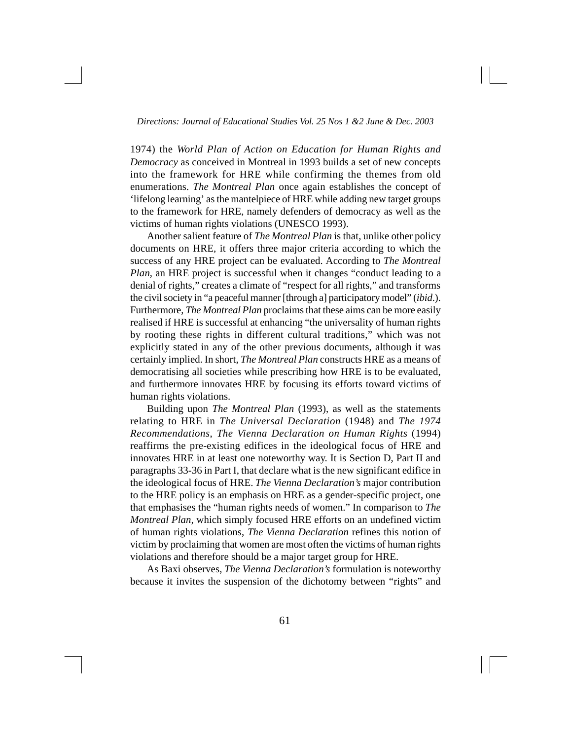1974) the *World Plan of Action on Education for Human Rights and Democracy* as conceived in Montreal in 1993 builds a set of new concepts into the framework for HRE while confirming the themes from old enumerations. *The Montreal Plan* once again establishes the concept of 'lifelong learning' as the mantelpiece of HRE while adding new target groups to the framework for HRE, namely defenders of democracy as well as the victims of human rights violations (UNESCO 1993).

Another salient feature of *The Montreal Plan* is that, unlike other policy documents on HRE, it offers three major criteria according to which the success of any HRE project can be evaluated. According to *The Montreal Plan*, an HRE project is successful when it changes "conduct leading to a denial of rights," creates a climate of "respect for all rights," and transforms the civil society in "a peaceful manner [through a] participatory model" (*ibid*.). Furthermore, *The Montreal Plan* proclaims that these aims can be more easily realised if HRE is successful at enhancing "the universality of human rights by rooting these rights in different cultural traditions," which was not explicitly stated in any of the other previous documents, although it was certainly implied. In short, *The Montreal Plan* constructs HRE as a means of democratising all societies while prescribing how HRE is to be evaluated, and furthermore innovates HRE by focusing its efforts toward victims of human rights violations.

Building upon *The Montreal Plan* (1993), as well as the statements relating to HRE in *The Universal Declaration* (1948) and *The 1974 Recommendations*, *The Vienna Declaration on Human Rights* (1994) reaffirms the pre-existing edifices in the ideological focus of HRE and innovates HRE in at least one noteworthy way. It is Section D, Part II and paragraphs 33-36 in Part I, that declare what is the new significant edifice in the ideological focus of HRE. *The Vienna Declaration's* major contribution to the HRE policy is an emphasis on HRE as a gender-specific project, one that emphasises the "human rights needs of women." In comparison to *The Montreal Plan,* which simply focused HRE efforts on an undefined victim of human rights violations, *The Vienna Declaration* refines this notion of victim by proclaiming that women are most often the victims of human rights violations and therefore should be a major target group for HRE.

As Baxi observes, *The Vienna Declaration's* formulation is noteworthy because it invites the suspension of the dichotomy between "rights" and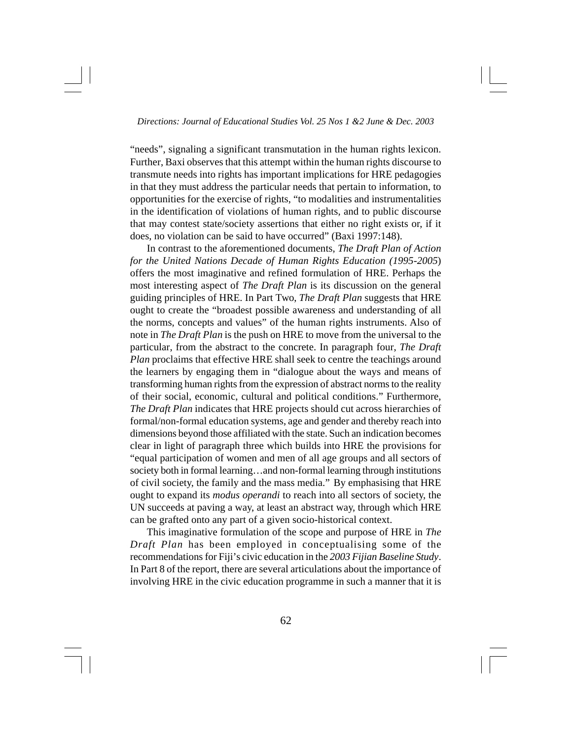"needs", signaling a significant transmutation in the human rights lexicon. Further, Baxi observes that this attempt within the human rights discourse to transmute needs into rights has important implications for HRE pedagogies in that they must address the particular needs that pertain to information, to opportunities for the exercise of rights, "to modalities and instrumentalities in the identification of violations of human rights, and to public discourse that may contest state/society assertions that either no right exists or, if it does, no violation can be said to have occurred" (Baxi 1997:148).

In contrast to the aforementioned documents, *The Draft Plan of Action for the United Nations Decade of Human Rights Education (1995-2005*) offers the most imaginative and refined formulation of HRE. Perhaps the most interesting aspect of *The Draft Plan* is its discussion on the general guiding principles of HRE. In Part Two, *The Draft Plan* suggests that HRE ought to create the "broadest possible awareness and understanding of all the norms, concepts and values" of the human rights instruments. Also of note in *The Draft Plan* is the push on HRE to move from the universal to the particular, from the abstract to the concrete. In paragraph four, *The Draft Plan* proclaims that effective HRE shall seek to centre the teachings around the learners by engaging them in "dialogue about the ways and means of transforming human rights from the expression of abstract norms to the reality of their social, economic, cultural and political conditions." Furthermore, *The Draft Plan* indicates that HRE projects should cut across hierarchies of formal/non-formal education systems, age and gender and thereby reach into dimensions beyond those affiliated with the state. Such an indication becomes clear in light of paragraph three which builds into HRE the provisions for "equal participation of women and men of all age groups and all sectors of society both in formal learning…and non-formal learning through institutions of civil society, the family and the mass media." By emphasising that HRE ought to expand its *modus operandi* to reach into all sectors of society, the UN succeeds at paving a way, at least an abstract way, through which HRE can be grafted onto any part of a given socio-historical context.

This imaginative formulation of the scope and purpose of HRE in *The Draft Plan* has been employed in conceptualising some of the recommendations for Fiji's civic education in the *2003 Fijian Baseline Study*. In Part 8 of the report, there are several articulations about the importance of involving HRE in the civic education programme in such a manner that it is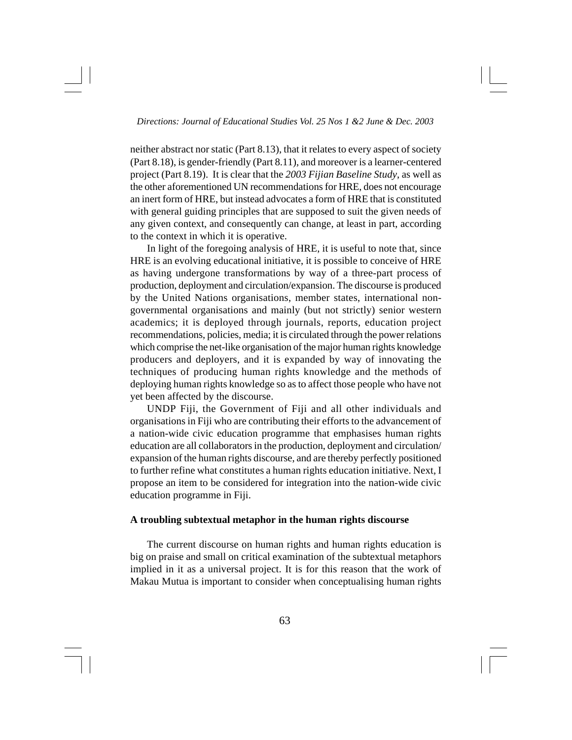neither abstract nor static (Part 8.13), that it relates to every aspect of society (Part 8.18), is gender-friendly (Part 8.11), and moreover is a learner-centered project (Part 8.19). It is clear that the *2003 Fijian Baseline Study*, as well as the other aforementioned UN recommendations for HRE, does not encourage an inert form of HRE, but instead advocates a form of HRE that is constituted with general guiding principles that are supposed to suit the given needs of any given context, and consequently can change, at least in part, according to the context in which it is operative.

In light of the foregoing analysis of HRE, it is useful to note that, since HRE is an evolving educational initiative, it is possible to conceive of HRE as having undergone transformations by way of a three-part process of production, deployment and circulation/expansion. The discourse is produced by the United Nations organisations, member states, international nongovernmental organisations and mainly (but not strictly) senior western academics; it is deployed through journals, reports, education project recommendations, policies, media; it is circulated through the power relations which comprise the net-like organisation of the major human rights knowledge producers and deployers, and it is expanded by way of innovating the techniques of producing human rights knowledge and the methods of deploying human rights knowledge so as to affect those people who have not yet been affected by the discourse.

UNDP Fiji, the Government of Fiji and all other individuals and organisations in Fiji who are contributing their efforts to the advancement of a nation-wide civic education programme that emphasises human rights education are all collaborators in the production, deployment and circulation/ expansion of the human rights discourse, and are thereby perfectly positioned to further refine what constitutes a human rights education initiative. Next, I propose an item to be considered for integration into the nation-wide civic education programme in Fiji.

## **A troubling subtextual metaphor in the human rights discourse**

The current discourse on human rights and human rights education is big on praise and small on critical examination of the subtextual metaphors implied in it as a universal project. It is for this reason that the work of Makau Mutua is important to consider when conceptualising human rights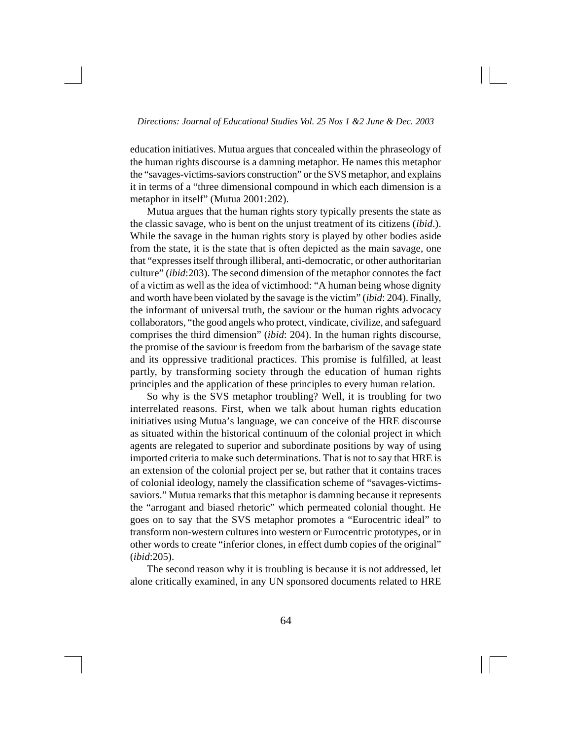education initiatives. Mutua argues that concealed within the phraseology of the human rights discourse is a damning metaphor. He names this metaphor the "savages-victims-saviors construction" or the SVS metaphor, and explains it in terms of a "three dimensional compound in which each dimension is a metaphor in itself" (Mutua 2001:202).

Mutua argues that the human rights story typically presents the state as the classic savage, who is bent on the unjust treatment of its citizens (*ibid*.). While the savage in the human rights story is played by other bodies aside from the state, it is the state that is often depicted as the main savage, one that "expresses itself through illiberal, anti-democratic, or other authoritarian culture" (*ibid*:203). The second dimension of the metaphor connotes the fact of a victim as well as the idea of victimhood: "A human being whose dignity and worth have been violated by the savage is the victim" (*ibid*: 204). Finally, the informant of universal truth, the saviour or the human rights advocacy collaborators, "the good angels who protect, vindicate, civilize, and safeguard comprises the third dimension" (*ibid*: 204). In the human rights discourse, the promise of the saviour is freedom from the barbarism of the savage state and its oppressive traditional practices. This promise is fulfilled, at least partly, by transforming society through the education of human rights principles and the application of these principles to every human relation.

So why is the SVS metaphor troubling? Well, it is troubling for two interrelated reasons. First, when we talk about human rights education initiatives using Mutua's language, we can conceive of the HRE discourse as situated within the historical continuum of the colonial project in which agents are relegated to superior and subordinate positions by way of using imported criteria to make such determinations. That is not to say that HRE is an extension of the colonial project per se, but rather that it contains traces of colonial ideology, namely the classification scheme of "savages-victimssaviors." Mutua remarks that this metaphor is damning because it represents the "arrogant and biased rhetoric" which permeated colonial thought. He goes on to say that the SVS metaphor promotes a "Eurocentric ideal" to transform non-western cultures into western or Eurocentric prototypes, or in other words to create "inferior clones, in effect dumb copies of the original" (*ibid*:205).

The second reason why it is troubling is because it is not addressed, let alone critically examined, in any UN sponsored documents related to HRE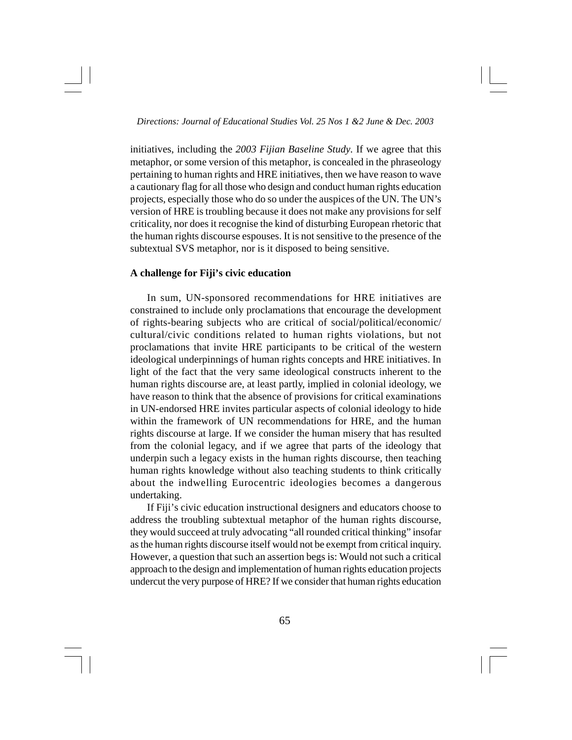initiatives, including the *2003 Fijian Baseline Study*. If we agree that this metaphor, or some version of this metaphor, is concealed in the phraseology pertaining to human rights and HRE initiatives, then we have reason to wave a cautionary flag for all those who design and conduct human rights education projects, especially those who do so under the auspices of the UN. The UN's version of HRE is troubling because it does not make any provisions for self criticality, nor does it recognise the kind of disturbing European rhetoric that the human rights discourse espouses. It is not sensitive to the presence of the subtextual SVS metaphor, nor is it disposed to being sensitive.

## **A challenge for Fiji's civic education**

In sum, UN-sponsored recommendations for HRE initiatives are constrained to include only proclamations that encourage the development of rights-bearing subjects who are critical of social/political/economic/ cultural/civic conditions related to human rights violations, but not proclamations that invite HRE participants to be critical of the western ideological underpinnings of human rights concepts and HRE initiatives. In light of the fact that the very same ideological constructs inherent to the human rights discourse are, at least partly, implied in colonial ideology, we have reason to think that the absence of provisions for critical examinations in UN-endorsed HRE invites particular aspects of colonial ideology to hide within the framework of UN recommendations for HRE, and the human rights discourse at large. If we consider the human misery that has resulted from the colonial legacy, and if we agree that parts of the ideology that underpin such a legacy exists in the human rights discourse, then teaching human rights knowledge without also teaching students to think critically about the indwelling Eurocentric ideologies becomes a dangerous undertaking.

If Fiji's civic education instructional designers and educators choose to address the troubling subtextual metaphor of the human rights discourse, they would succeed at truly advocating "all rounded critical thinking" insofar as the human rights discourse itself would not be exempt from critical inquiry. However, a question that such an assertion begs is: Would not such a critical approach to the design and implementation of human rights education projects undercut the very purpose of HRE? If we consider that human rights education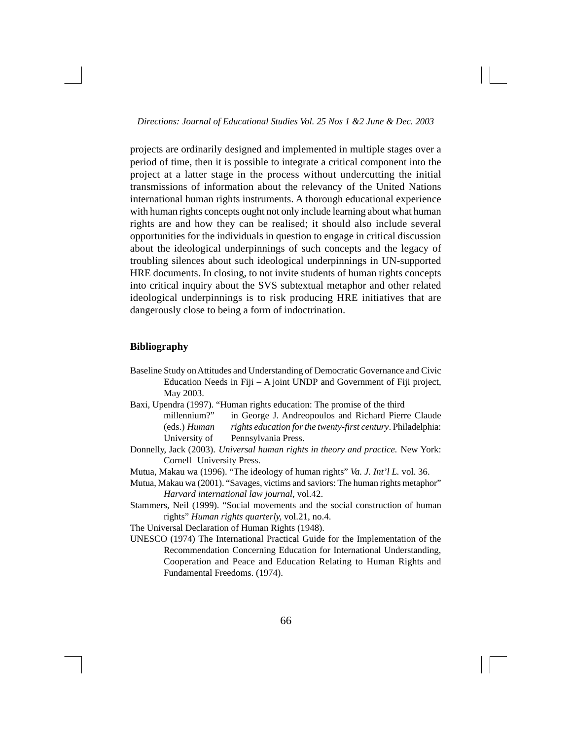projects are ordinarily designed and implemented in multiple stages over a period of time, then it is possible to integrate a critical component into the project at a latter stage in the process without undercutting the initial transmissions of information about the relevancy of the United Nations international human rights instruments. A thorough educational experience with human rights concepts ought not only include learning about what human rights are and how they can be realised; it should also include several opportunities for the individuals in question to engage in critical discussion about the ideological underpinnings of such concepts and the legacy of troubling silences about such ideological underpinnings in UN-supported HRE documents. In closing, to not invite students of human rights concepts into critical inquiry about the SVS subtextual metaphor and other related ideological underpinnings is to risk producing HRE initiatives that are dangerously close to being a form of indoctrination.

## **Bibliography**

- Baseline Study on Attitudes and Understanding of Democratic Governance and Civic Education Needs in Fiji – A joint UNDP and Government of Fiji project, May 2003.
- Baxi, Upendra (1997). "Human rights education: The promise of the third
	- millennium?" in George J. Andreopoulos and Richard Pierre Claude (eds.) *Human rights education for the twenty-first century*. Philadelphia: University of Pennsylvania Press.
- Donnelly, Jack (2003). *Universal human rights in theory and practice.* New York: Cornell University Press.
- Mutua, Makau wa (1996). "The ideology of human rights" *Va. J. Int'l L.* vol. 36.
- Mutua, Makau wa (2001). "Savages, victims and saviors: The human rights metaphor" *Harvard international law journal,* vol.42.
- Stammers, Neil (1999). "Social movements and the social construction of human rights" *Human rights quarterly,* vol.21, no.4.
- The Universal Declaration of Human Rights (1948).
- UNESCO (1974) The International Practical Guide for the Implementation of the Recommendation Concerning Education for International Understanding, Cooperation and Peace and Education Relating to Human Rights and Fundamental Freedoms. (1974).